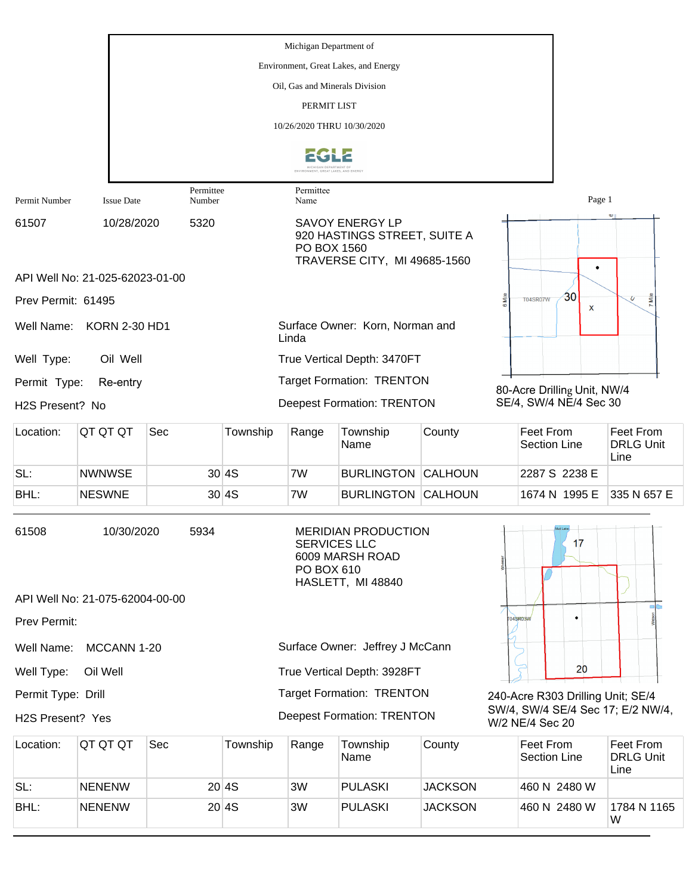|                    |                                 |                     |          | Michigan Department of            |                                                                                        |                |                                                       |                                              |
|--------------------|---------------------------------|---------------------|----------|-----------------------------------|----------------------------------------------------------------------------------------|----------------|-------------------------------------------------------|----------------------------------------------|
|                    |                                 |                     |          |                                   | Environment, Great Lakes, and Energy                                                   |                |                                                       |                                              |
|                    |                                 |                     |          | Oil, Gas and Minerals Division    |                                                                                        |                |                                                       |                                              |
|                    |                                 |                     |          | PERMIT LIST                       |                                                                                        |                |                                                       |                                              |
|                    |                                 |                     |          | 10/26/2020 THRU 10/30/2020        |                                                                                        |                |                                                       |                                              |
|                    |                                 |                     |          |                                   |                                                                                        |                |                                                       |                                              |
| Permit Number      | <b>Issue Date</b>               | Permittee<br>Number |          | Permittee<br>Name                 |                                                                                        |                | Page 1                                                |                                              |
| 61507              | 10/28/2020                      | 5320                |          | PO BOX 1560                       | <b>SAVOY ENERGY LP</b><br>920 HASTINGS STREET, SUITE A<br>TRAVERSE CITY, MI 49685-1560 |                | ٠                                                     |                                              |
|                    | API Well No: 21-025-62023-01-00 |                     |          |                                   |                                                                                        |                |                                                       |                                              |
| Prev Permit: 61495 |                                 |                     |          |                                   |                                                                                        |                | 30<br><b>T04SR07W</b><br>X                            | <b>S</b><br>$\overline{U}$                   |
| Well Name:         | <b>KORN 2-30 HD1</b>            |                     |          | Linda                             | Surface Owner: Korn, Norman and                                                        |                |                                                       |                                              |
| Well Type:         | Oil Well                        |                     |          |                                   | True Vertical Depth: 3470FT                                                            |                |                                                       |                                              |
| Permit Type:       | Re-entry                        |                     |          |                                   | <b>Target Formation: TRENTON</b>                                                       |                |                                                       |                                              |
| H2S Present? No    |                                 |                     |          |                                   | <b>Deepest Formation: TRENTON</b>                                                      |                | 80-Acre Drilling Unit, NW/4<br>SE/4, SW/4 NE/4 Sec 30 |                                              |
| Location:          | QT QT QT                        | Sec                 | Township | Range                             | Township<br>Name                                                                       | County         | Feet From<br>Section Line                             | <b>Feet From</b><br><b>DRLG Unit</b><br>Line |
| SL:                | <b>NWNWSE</b>                   |                     | 30 4S    | 7W                                | <b>BURLINGTON CALHOUN</b>                                                              |                | 2287 S 2238 E                                         |                                              |
| BHL:               | <b>NESWNE</b>                   |                     | 30 4S    | 7W                                | <b>BURLINGTON CALHOUN</b>                                                              |                | 1674 N 1995 E                                         | 335 N 657 E                                  |
| 61508              | 10/30/2020                      | 5934                |          | <b>SERVICES LLC</b><br>PO BOX 610 | <b>MERIDIAN PRODUCTION</b><br>6009 MARSH ROAD<br>HASLETT, MI 48840                     |                | 17                                                    |                                              |
|                    | API Well No: 21-075-62004-00-00 |                     |          |                                   |                                                                                        |                |                                                       |                                              |
| Prev Permit:       |                                 |                     |          |                                   |                                                                                        |                | 04SR03W                                               |                                              |
| Well Name:         | MCCANN 1-20                     |                     |          |                                   | Surface Owner: Jeffrey J McCann                                                        |                |                                                       |                                              |
| Well Type:         | Oil Well                        |                     |          |                                   | True Vertical Depth: 3928FT                                                            |                | 20                                                    |                                              |
| Permit Type: Drill |                                 |                     |          |                                   | <b>Target Formation: TRENTON</b>                                                       |                | 240-Acre R303 Drilling Unit; SE/4                     |                                              |
| H2S Present? Yes   |                                 |                     |          |                                   | <b>Deepest Formation: TRENTON</b>                                                      |                | SW/4, SW/4 SE/4 Sec 17; E/2 NW/4,<br>W/2 NE/4 Sec 20  |                                              |
| Location:          | QT QT QT                        | Sec                 | Township | Range                             | Township<br>Name                                                                       | County         | Feet From<br><b>Section Line</b>                      | Feet From<br><b>DRLG Unit</b><br>Line        |
| SL:                | <b>NENENW</b>                   |                     | 20 4S    | 3W                                | <b>PULASKI</b>                                                                         | <b>JACKSON</b> | 460 N 2480 W                                          |                                              |

BHL: NENENW 20 4S 3W PULASKI JACKSON 460 N 2480 W

1784 N 1165<br>W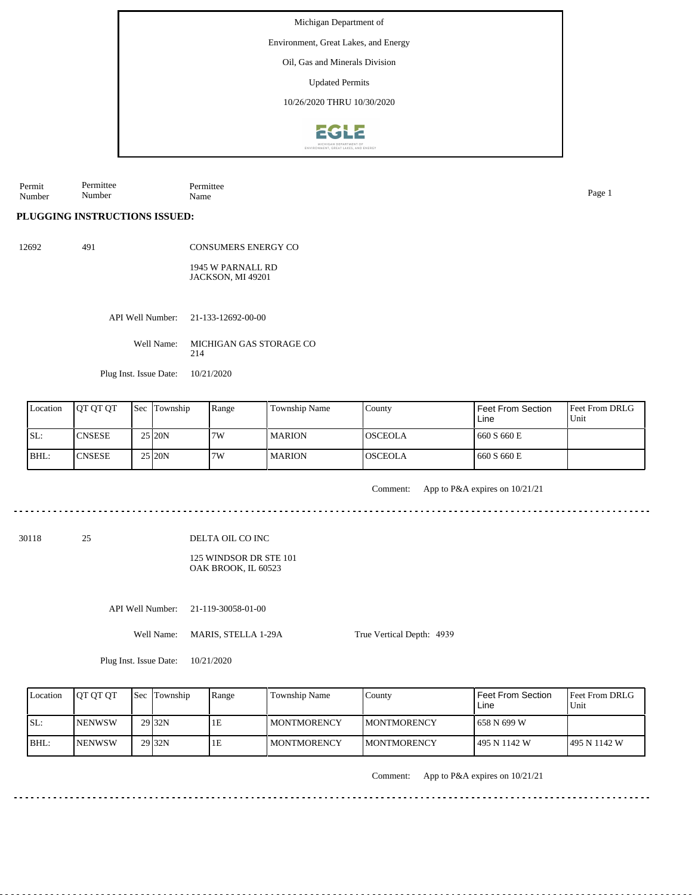Environment, Great Lakes, and Energy

Oil, Gas and Minerals Division

Updated Permits

10/26/2020 THRU 10/30/2020



Permit Number Permittee Number Permittee Name Page 1

**PLUGGING INSTRUCTIONS ISSUED:**

12692 491

CONSUMERS ENERGY CO 1945 W PARNALL RD JACKSON, MI 49201

API Well Number: 21-133-12692-00-00

Well Name: MICHIGAN GAS STORAGE CO 214

Plug Inst. Issue Date: 10/21/2020

| Location | <b>IOT OT OT</b> | <b>Sec Township</b> | Range | Township Name | County          | Feet From Section<br>Line | <b>Feet From DRLG</b><br>Unit |
|----------|------------------|---------------------|-------|---------------|-----------------|---------------------------|-------------------------------|
| ISL:     | ICNSESE          | 25 20N              | 7W    | <b>MARION</b> | <b>IOSCEOLA</b> | 1660 S 660 E              |                               |
| BHL:     | <b>CNSESE</b>    | 25 20N              | 17W   | <b>MARION</b> | <b>OSCEOLA</b>  | 1660 S 660 E              |                               |

Comment: App to P&A expires on 10/21/21

125 WINDSOR DR STE 101 OAK BROOK, IL 60523

API Well Number: 21-119-30058-01-00

Well Name: MARIS, STELLA 1-29A

True Vertical Depth: 4939

Plug Inst. Issue Date: 10/21/2020

| Location | <b>OT OT OT</b> | <b>Sec</b> Township | Range | Township Name      | County              | <b>Feet From Section</b><br>Line | <b>IFeet From DRLG</b><br>Unit |
|----------|-----------------|---------------------|-------|--------------------|---------------------|----------------------------------|--------------------------------|
| ISL:     | <b>INENWSW</b>  | 29 <sub>32N</sub>   | 1E    | MONTMORENCY        | <b>IMONTMORENCY</b> | 658 N 699 W                      |                                |
| BHL:     | <b>INENWSW</b>  | 29 32N              | 1Е    | <b>MONTMORENCY</b> | <b>IMONTMORENCY</b> | 1495 N 1142 W                    | 1495 N 1142 W                  |

Comment: App to P&A expires on 10/21/21

30118 25

DELTA OIL CO INC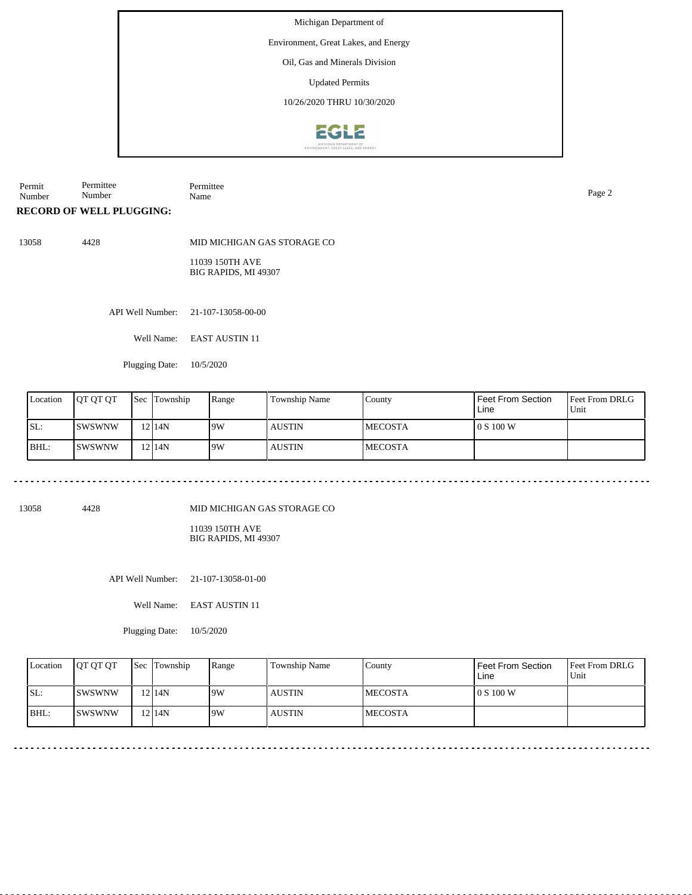Environment, Great Lakes, and Energy

Oil, Gas and Minerals Division

Updated Permits

10/26/2020 THRU 10/30/2020



Permit Number Permittee Number Permittee Name Page 2

## **RECORD OF WELL PLUGGING:**

13058 4428

MID MICHIGAN GAS STORAGE CO

11039 150TH AVE BIG RAPIDS, MI 49307

API Well Number: 21-107-13058-00-00

Well Name: EAST AUSTIN 11

Plugging Date: 10/5/2020

| Location | <b>IOT OT OT</b> | Sec Township | Range | <b>Township Name</b> | County          | Feet From Section<br>Line | Feet From DRLG<br>Unit |
|----------|------------------|--------------|-------|----------------------|-----------------|---------------------------|------------------------|
| SL:      | ISWSWNW          | 12 I 14 N    | 19W   | <b>AUSTIN</b>        | <b>IMECOSTA</b> | 10 S 100 W                |                        |
| BHL:     | ISWSWNW          | 12 I 14 N    | 19W   | <b>AUSTIN</b>        | <b>IMECOSTA</b> |                           |                        |

13058 4428

MID MICHIGAN GAS STORAGE CO

11039 150TH AVE BIG RAPIDS, MI 49307

API Well Number: 21-107-13058-01-00

Well Name: EAST AUSTIN 11

Plugging Date: 10/5/2020

|       | Location | <b>OT OT OT</b> | <b>Sec</b> Township | Range | Township Name | County          | Feet From Section<br>Line | <b>Feet From DRLG</b><br>Unit |
|-------|----------|-----------------|---------------------|-------|---------------|-----------------|---------------------------|-------------------------------|
| ISL:  |          | ISWSWNW         | 12 I 14 N           | 19W   | <b>AUSTIN</b> | <b>IMECOSTA</b> | l 0 S 100 W               |                               |
| IBHL: |          | ISWSWNW         | 12 I 14 N           | 19W   | <b>AUSTIN</b> | <b>IMECOSTA</b> |                           |                               |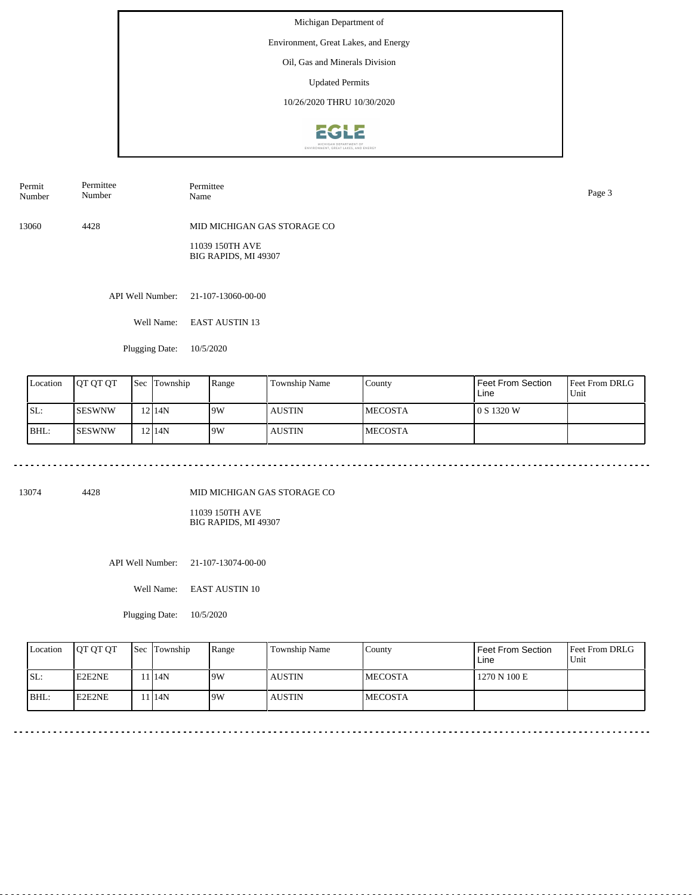Environment, Great Lakes, and Energy

Oil, Gas and Minerals Division

Updated Permits

10/26/2020 THRU 10/30/2020



API Well Number: 21-107-13060-00-00 13060 4428 MID MICHIGAN GAS STORAGE CO 11039 150TH AVE BIG RAPIDS, MI 49307 Permit Number Permittee Number Permittee Name Page 3

Well Name: EAST AUSTIN 13

Plugging Date: 10/5/2020

. . . . . . . . . . . . . . . . . . . .

| Location | <b>JOT OT OT</b> | <b>Sec</b> | Township  | Range | Township Name | County          | Feet From Section<br>Line | <b>Feet From DRLG</b><br>'Unit |
|----------|------------------|------------|-----------|-------|---------------|-----------------|---------------------------|--------------------------------|
| ISL:     | <b>SESWNW</b>    |            | $12$  14N | 19W   | <b>AUSTIN</b> | <b>IMECOSTA</b> | 0 S 1320 W                |                                |
| BHL:     | <b>SESWNW</b>    |            | $12$  14N | 19W   | <b>AUSTIN</b> | <b>IMECOSTA</b> |                           |                                |

13074 4428

MID MICHIGAN GAS STORAGE CO

<u>. . . . . . . . . . . . . . .</u>

11039 150TH AVE BIG RAPIDS, MI 49307

API Well Number: 21-107-13074-00-00

Well Name: EAST AUSTIN 10

Plugging Date: 10/5/2020

| Location | <b>OT OT OT</b> | <b>Sec Township</b> | Range | Township Name | Countv          | Feet From Section<br>Line | <b>Feet From DRLG</b><br>Unit |
|----------|-----------------|---------------------|-------|---------------|-----------------|---------------------------|-------------------------------|
| ISL:     | E2E2NE          | 114N                | 19W   | <b>AUSTIN</b> | <b>IMECOSTA</b> | 1270 N 100 E              |                               |
| IBHL:    | <b>IE2E2NE</b>  | 1 14N               | 9W    | <b>AUSTIN</b> | <b>IMECOSTA</b> |                           |                               |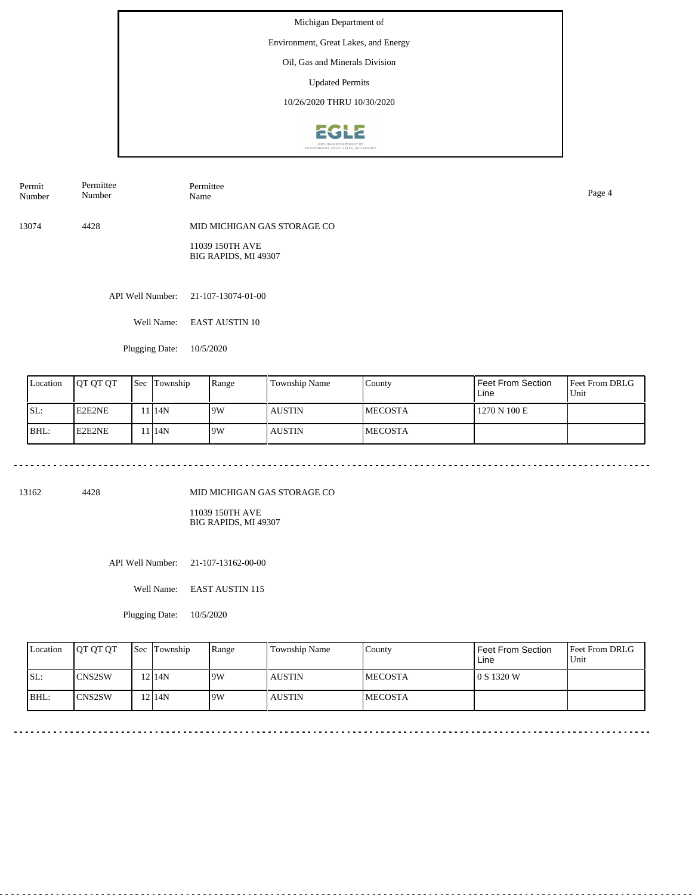Environment, Great Lakes, and Energy

Oil, Gas and Minerals Division

Updated Permits

10/26/2020 THRU 10/30/2020



API Well Number: 21-107-13074-01-00 13074 4428 MID MICHIGAN GAS STORAGE CO 11039 150TH AVE BIG RAPIDS, MI 49307 Permit Number Permittee Number Permittee Name Page 4

Well Name: EAST AUSTIN 10

Plugging Date: 10/5/2020

| Location | <b>IOT OT OT</b> | <b>Sec</b> | Township          | Range | Township Name | County          | Feet From Section<br>Line | <b>Feet From DRLG</b><br>Unit |
|----------|------------------|------------|-------------------|-------|---------------|-----------------|---------------------------|-------------------------------|
| ISL:     | E2E2NE           |            | 1 <sup>14</sup> N | 9W    | <b>AUSTIN</b> | <b>IMECOSTA</b> | 1270 N 100 E              |                               |
| BHL:     | E2E2NE           |            | 1 <sup>14</sup> N | 19W   | <b>AUSTIN</b> | <b>IMECOSTA</b> |                           |                               |

13162 4428

MID MICHIGAN GAS STORAGE CO

<u>. . . . . . . . . . . . . . .</u>

11039 150TH AVE BIG RAPIDS, MI 49307

API Well Number: 21-107-13162-00-00

Well Name: EAST AUSTIN 115

Plugging Date: 10/5/2020

| Location | <b>OT OT OT</b> | <b>Sec Township</b> | Range | Township Name | Countv          | Feet From Section<br>Line | <b>Feet From DRLG</b><br>Unit |
|----------|-----------------|---------------------|-------|---------------|-----------------|---------------------------|-------------------------------|
| ISL:     | <b>ICNS2SW</b>  | 12 <sup>14</sup> N  | 19W   | <b>AUSTIN</b> | <b>IMECOSTA</b> | l 0 S 1320 W              |                               |
| IBHL:    | <b>ICNS2SW</b>  | 12 I 14 N           | 9W    | <b>AUSTIN</b> | <b>IMECOSTA</b> |                           |                               |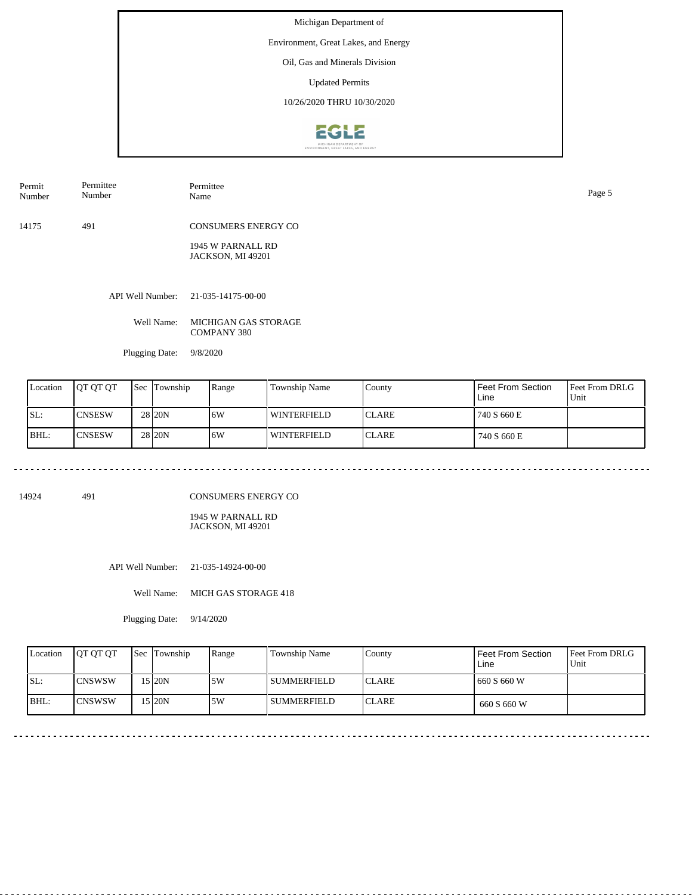Environment, Great Lakes, and Energy

Oil, Gas and Minerals Division

Updated Permits

10/26/2020 THRU 10/30/2020



| Permit                                    | Permittee | Permittee                                                                                              | Page 5 |
|-------------------------------------------|-----------|--------------------------------------------------------------------------------------------------------|--------|
| Number                                    | Number    | Name                                                                                                   |        |
| $\rightarrow$ $\rightarrow$ $\rightarrow$ | 40.4      | $G$ <sup><math>\alpha</math></sup> $I$ $G$ $I$ $B$ $I$ $H$ $B$ $A$ $I$ $H$ $B$ $I$ $H$ $I$ $I$ $G$ $G$ |        |

<u>. . . . . . . . . . .</u>

14175 491 CONSUMERS ENERGY CO

> 1945 W PARNALL RD JACKSON, MI 49201

API Well Number: 21-035-14175-00-00

Well Name: MICHIGAN GAS STORAGE COMPANY 380

Plugging Date: 9/8/2020

| Location | <b>OT OT OT</b> | <b>Sec</b> | Township | Range | Township Name      | County        | Feet From Section<br>Line | <b>Feet From DRLG</b><br>Unit |
|----------|-----------------|------------|----------|-------|--------------------|---------------|---------------------------|-------------------------------|
| ISL:     | <b>ICNSESW</b>  |            | 28 20N   | 16W   | <b>WINTERFIELD</b> | <b>ICLARE</b> | 740 S 660 E               |                               |
| BHL:     | <b>CNSESW</b>   |            | 28 20N   | 16W   | WINTERFIELD        | <b>ICLARE</b> | 740 S 660 E               |                               |

14924 491

CONSUMERS ENERGY CO

1945 W PARNALL RD JACKSON, MI 49201

API Well Number: 21-035-14924-00-00

Well Name: MICH GAS STORAGE 418

Plugging Date: 9/14/2020

| Location | <b>OT OT OT</b> | <b>Sec</b> Township | Range | Township Name  | County        | Feet From Section<br>Line | <b>Feet From DRLG</b><br>Unit |
|----------|-----------------|---------------------|-------|----------------|---------------|---------------------------|-------------------------------|
| ISL:     | <b>ICNSWSW</b>  | 15 20N              | .5W   | l summerfield  | <b>ICLARE</b> | 660 S 660 W               |                               |
| BHL:     | <b>ICNSWSW</b>  | 15 20N              | 5W    | l summerfield- | <b>ICLARE</b> | 660 S 660 W               |                               |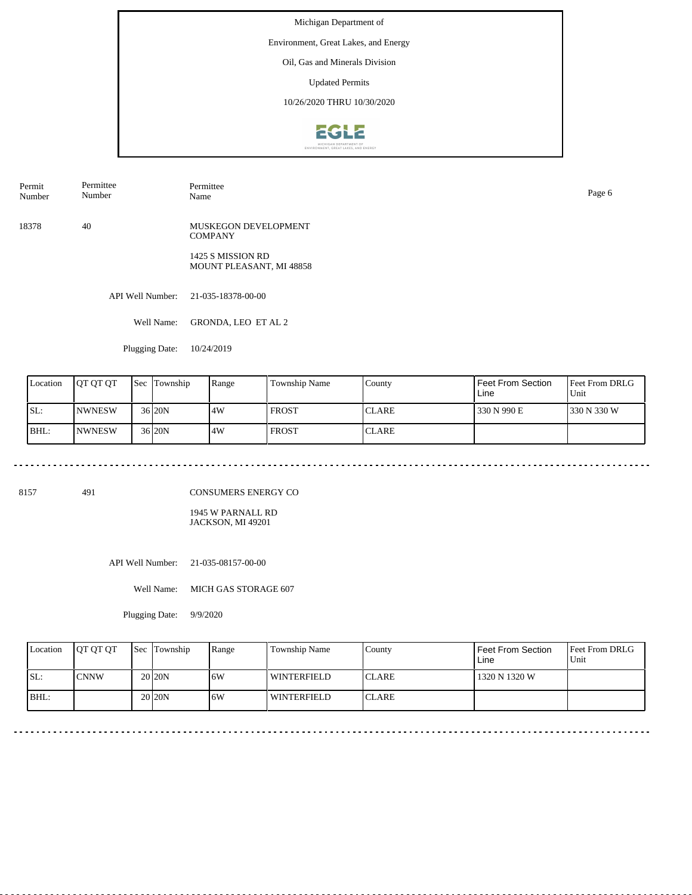Environment, Great Lakes, and Energy

Oil, Gas and Minerals Division

Updated Permits

10/26/2020 THRU 10/30/2020



Permit Number Permittee Number

18378 40 MUSKEGON DEVELOPMENT **COMPANY** 

> 1425 S MISSION RD MOUNT PLEASANT, MI 48858

API Well Number: 21-035-18378-00-00

Well Name: GRONDA, LEO ET AL 2

Permittee

Plugging Date: 10/24/2019

| Location | <b>JOT OT OT</b> | <b>Sec</b> | Township | Range | Township Name | County       | Feet From Section<br>Line | <b>IFeet From DRLG</b><br>Unit |
|----------|------------------|------------|----------|-------|---------------|--------------|---------------------------|--------------------------------|
| SL:      | <b>INWNESW</b>   |            | 36 20N   | 4W    | FROST         | <b>CLARE</b> | 330 N 990 E               | 1330 N 330 W                   |
| BHL:     | <b>INWNESW</b>   |            | 36 20N   | 4W    | <b>FROST</b>  | <b>CLARE</b> |                           |                                |

8157 491

CONSUMERS ENERGY CO

1945 W PARNALL RD JACKSON, MI 49201

API Well Number: 21-035-08157-00-00

Well Name: MICH GAS STORAGE 607

Plugging Date: 9/9/2020

| Location | <b>IOT OT OT</b> | Sec Township       | Range | <b>Township Name</b> | County        | Feet From Section<br>Line | <b>Feet From DRLG</b><br>Unit |
|----------|------------------|--------------------|-------|----------------------|---------------|---------------------------|-------------------------------|
| ISL:     | ICNNW            | 20 <sub>20</sub> N | 16W   | WINTERFIELD          | <b>ICLARE</b> | 1320 N 1320 W             |                               |
| BHL:     |                  | 20 <sub>20</sub> N | 6W    | WINTERFIELD          | <b>ICLARE</b> |                           |                               |

Name Page 6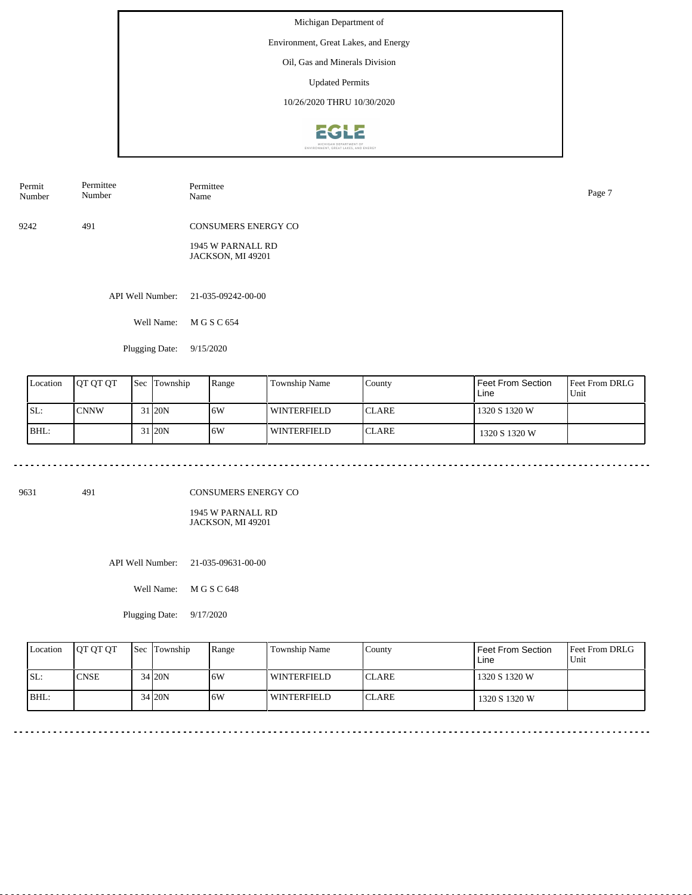Environment, Great Lakes, and Energy

Oil, Gas and Minerals Division

Updated Permits

10/26/2020 THRU 10/30/2020



| Permit<br>Number | Permittee<br>Number | Permittee<br>Name                      | Page 7 |
|------------------|---------------------|----------------------------------------|--------|
| 9242             | 491                 | <b>CONSUMERS ENERGY CO</b>             |        |
|                  |                     | 1945 W PARNALL RD<br>JACKSON, MI 49201 |        |
|                  | API Well Number:    | 21-035-09242-00-00                     |        |

Well Name: M G S C 654

Plugging Date: 9/15/2020

| Location | <b>IOT OT OT</b> | <b>Sec</b> | Township | Range | Township Name      | County        | Feet From Section<br>Line | <b>Feet From DRLG</b><br>Unit |
|----------|------------------|------------|----------|-------|--------------------|---------------|---------------------------|-------------------------------|
| ISL:     | <b>CNNW</b>      |            | 31 20N   | 6W    | l winterfield      | <b>ICLARE</b> | 1320 S 1320 W             |                               |
| BHL:     |                  |            | 31 20N   | 6W    | <b>WINTERFIELD</b> | <b>ICLARE</b> | 1320 S 1320 W             |                               |

9631 491

CONSUMERS ENERGY CO

1945 W PARNALL RD JACKSON, MI 49201

API Well Number: 21-035-09631-00-00

Well Name: M G S C 648

Plugging Date: 9/17/2020

| Location | <b>IOT OT OT</b> | <b>Sec Township</b> | Range | Township Name      | County        | Feet From Section<br>Line | <b>Feet From DRLG</b><br>Unit |
|----------|------------------|---------------------|-------|--------------------|---------------|---------------------------|-------------------------------|
| SL:      | <b>CNSE</b>      | 34 20N              | 16W   | <b>WINTERFIELD</b> | <b>ICLARE</b> | 1320 S 1320 W             |                               |
| BHL:     |                  | 34 20N              | 6W    | WINTERFIELD        | <b>ICLARE</b> | 1320 S 1320 W             |                               |

 $-$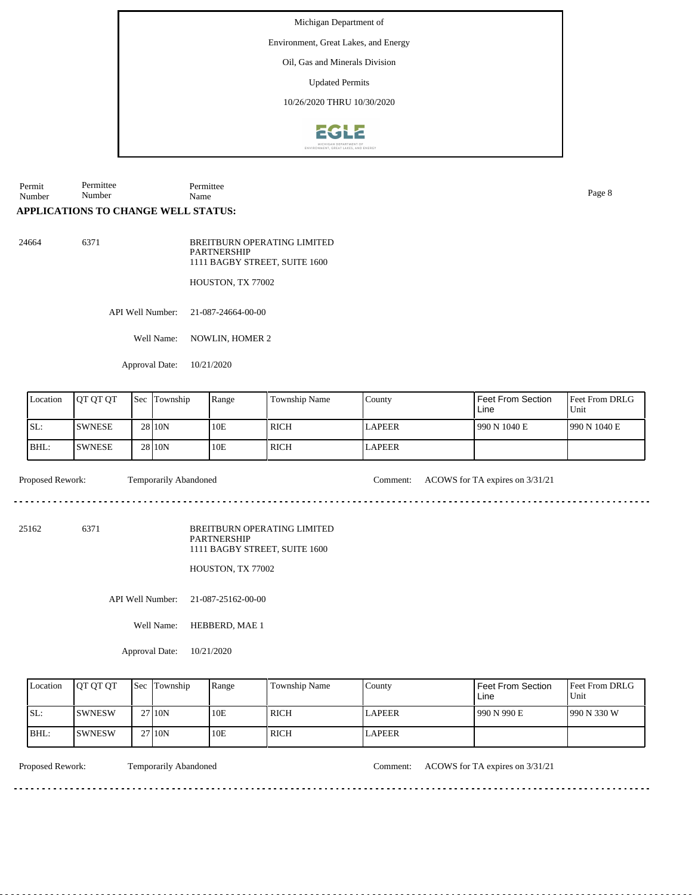Environment, Great Lakes, and Energy

Oil, Gas and Minerals Division

Updated Permits

10/26/2020 THRU 10/30/2020



Permit Number Permittee Number Permittee Name Page 8

## **APPLICATIONS TO CHANGE WELL STATUS:**

24664 6371 BREITBURN OPERATING LIMITED **PARTNERSHIP** 1111 BAGBY STREET, SUITE 1600

HOUSTON, TX 77002

API Well Number: 21-087-24664-00-00

Well Name: NOWLIN, HOMER 2

Approval Date: 10/21/2020

| Location | <b>IOT OT OT</b> | <b>Sec</b> | Township | Range | <b>Township Name</b> | County        | l Feet From Section<br>Line | <b>Feet From DRLG</b><br>Unit |
|----------|------------------|------------|----------|-------|----------------------|---------------|-----------------------------|-------------------------------|
| SL:      | <b>SWNESE</b>    |            | 28 10N   | 10E   | ' RICH               | <b>LAPEER</b> | 1990 N 1040 E               | 1990 N 1040 E                 |
| IBHL:    | <b>ISWNESE</b>   |            | 28 10N   | 10E   | RICH                 | <b>LAPEER</b> |                             |                               |

dia a a a

Proposed Rework: Temporarily Abandoned Comment: ACOWS for TA expires on 3/31/21

de de decede

dia a dia a di

25162 6371

BREITBURN OPERATING LIMITED PARTNERSHIP 1111 BAGBY STREET, SUITE 1600

HOUSTON, TX 77002

API Well Number: 21-087-25162-00-00

Well Name: HEBBERD, MAE 1

Approval Date: 10/21/2020

| Location | <b>JOT OT OT</b> | l Sec | Township | Range | Township Name | County        | l Feet From Section.<br>Line | Feet From DRLG<br>Unit |
|----------|------------------|-------|----------|-------|---------------|---------------|------------------------------|------------------------|
| SL:      | ISWNESW          |       | 27110N   | 10E   | <b>RICH</b>   | <b>LAPEER</b> | 990 N 990 E                  | 1990 N 330 W           |
| IBHL:    | ISWNESW          |       | 27110N   | 10E   | <b>RICH</b>   | <b>LAPEER</b> |                              |                        |

Proposed Rework: Temporarily Abandoned Comment: ACOWS for TA expires on 3/31/21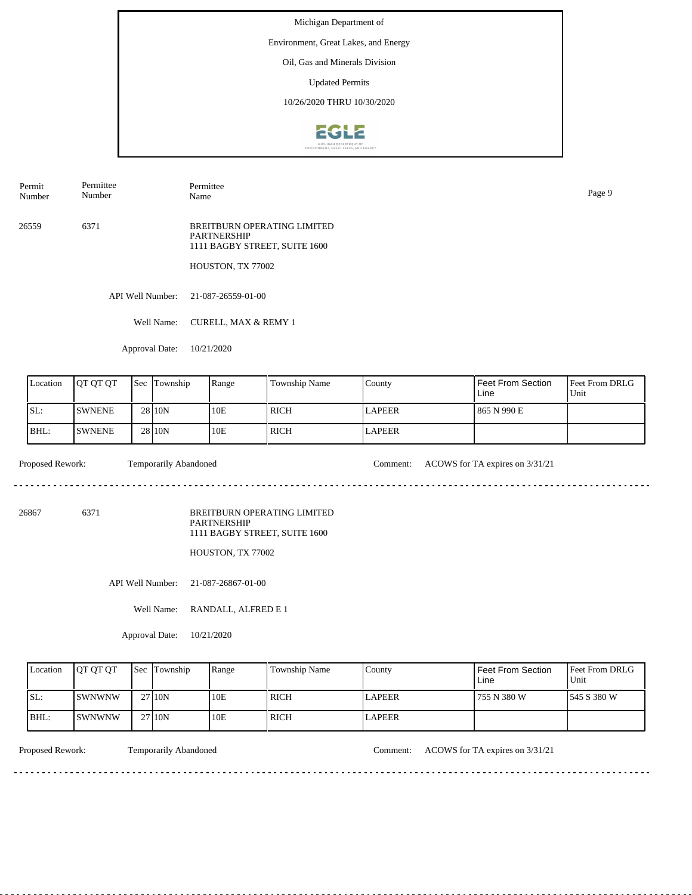Environment, Great Lakes, and Energy

Oil, Gas and Minerals Division

Updated Permits

10/26/2020 THRU 10/30/2020



Permit Number Permittee Number

Permittee Name Page 9

26559 6371 BREITBURN OPERATING LIMITED PARTNERSHIP 1111 BAGBY STREET, SUITE 1600

HOUSTON, TX 77002

API Well Number: 21-087-26559-01-00

Well Name: CURELL, MAX & REMY 1

Approval Date: 10/21/2020

| Location | <b>OT OT OT</b> | <b>Sec</b> Township | Range | <b>Township Name</b> | County        | Feet From Section<br>Line | Feet From DRLG<br>Unit |
|----------|-----------------|---------------------|-------|----------------------|---------------|---------------------------|------------------------|
| ISL:     | <b>ISWNENE</b>  | 28 10N              | 10E   | RICH                 | <b>LAPEER</b> | 865 N 990 E               |                        |
| BHL:     | <b>ISWNENE</b>  | 28 10N              | 10E   | RICH                 | <b>LAPEER</b> |                           |                        |

Proposed Rework: Temporarily Abandoned Comment: ACOWS for TA expires on  $3/31/21$ 

 $\mathcal{L}^{\mathcal{L}}\left( \mathcal{L}^{\mathcal{L}}\left( \mathcal{L}^{\mathcal{L}}\right) \right) =\mathcal{L}^{\mathcal{L}}\left( \mathcal{L}^{\mathcal{L}}\right)$ 

26867 6371

BREITBURN OPERATING LIMITED PARTNERSHIP 1111 BAGBY STREET, SUITE 1600

HOUSTON, TX 77002

API Well Number: 21-087-26867-01-00

Well Name: RANDALL, ALFRED E 1

Approval Date: 10/21/2020

| Location | <b>OT OT OT</b>       | <b>Sec</b> Township | Range | Township Name | County | Feet From Section<br>Line | <b>Feet From DRLG</b><br>Unit |
|----------|-----------------------|---------------------|-------|---------------|--------|---------------------------|-------------------------------|
| ISL:     | <b>ISWNWNW</b>        | 27 10N              | 10E   | <b>RICH</b>   | LAPEER | 755 N 380 W               | 1545 S 380 W                  |
| IBHL:    | <i><b>ISWNWNW</b></i> | 2710N               | 10E   | <b>RICH</b>   | LAPEER |                           |                               |

Proposed Rework: Temporarily Abandoned Comment: ACOWS for TA expires on  $3/31/21$ 

<u>. . . . . . . .</u>

. . . . . . . . . . . . . . . . . . . .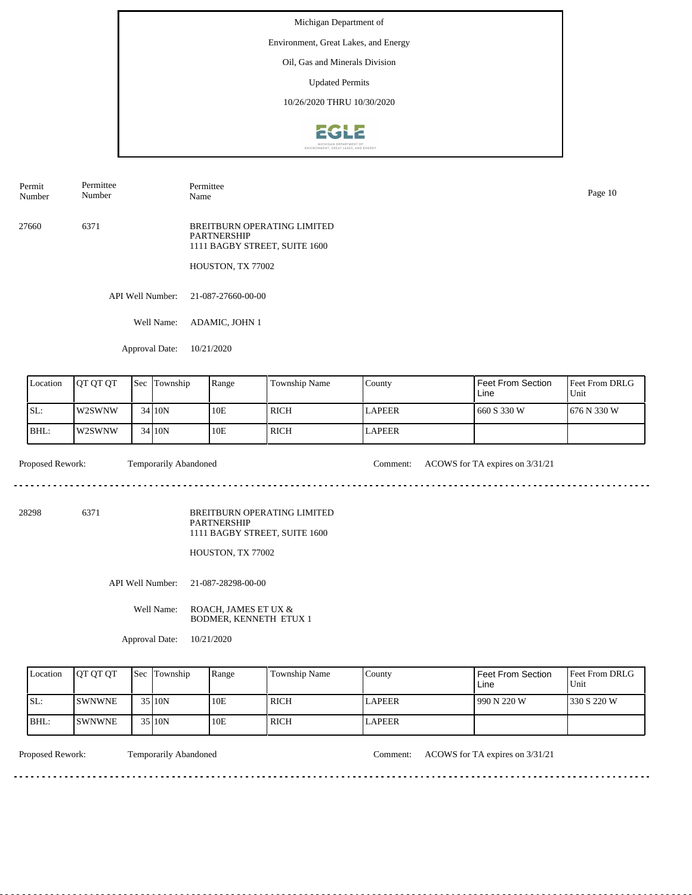Environment, Great Lakes, and Energy

Oil, Gas and Minerals Division

Updated Permits

10/26/2020 THRU 10/30/2020



Permit Number

Permittee Number

Permittee Name Page 10

27660 6371 BREITBURN OPERATING LIMITED PARTNERSHIP 1111 BAGBY STREET, SUITE 1600

HOUSTON, TX 77002

API Well Number: 21-087-27660-00-00

Well Name: ADAMIC, JOHN 1

Approval Date: 10/21/2020

| Location | <b>IOT OT OT</b> | <b>Sec Township</b> | Range | <b>Township Name</b> | County        | Feet From Section<br>Line | Feet From DRLG<br>Unit |
|----------|------------------|---------------------|-------|----------------------|---------------|---------------------------|------------------------|
| ISL:     | l w2SWNW         | 34 10N              | 10E   | <b>RICH</b>          | <b>LAPEER</b> | 660 S 330 W               | 676 N 330 W            |
| $BHL$ :  | l w2SWNW         | 34 10N              | 10E   | ' RICH               | <b>LAPEER</b> |                           |                        |

Proposed Rework: Temporarily Abandoned Comment: ACOWS for TA expires on 3/31/21

. . . . . . . .

28298 6371

BREITBURN OPERATING LIMITED PARTNERSHIP 1111 BAGBY STREET, SUITE 1600

HOUSTON, TX 77002

API Well Number: 21-087-28298-00-00

Well Name: ROACH, JAMES ET UX & BODMER, KENNETH ETUX 1

Approval Date: 10/21/2020

| Location | <b>IOT OT OT</b> | <b>Sec</b> Township | Range | Township Name | County        | <b>Feet From Section</b><br>Line | <b>Feet From DRLG</b><br>Unit |
|----------|------------------|---------------------|-------|---------------|---------------|----------------------------------|-------------------------------|
| SL:      | ISWNWNE          | 35 10N              | 10E   | <b>RICH</b>   | <b>LAPEER</b> | 1990 N 220 W                     | 1330 S 220 W                  |
| BHL:     | <b>ISWNWNE</b>   | 35 10N              | 10E   | <b>RICH</b>   | <b>LAPEER</b> |                                  |                               |

<u>. . . . . . . . . . . . . . . . . . .</u>

Proposed Rework: Temporarily Abandoned Comment: ACOWS for TA expires on 3/31/21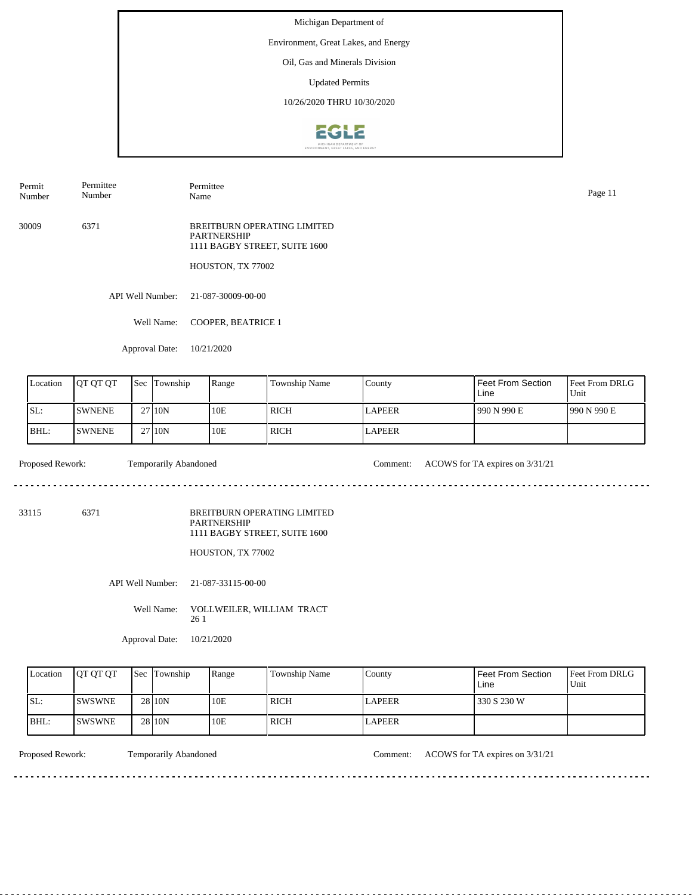Environment, Great Lakes, and Energy

Oil, Gas and Minerals Division

Updated Permits

10/26/2020 THRU 10/30/2020



Permit Number Permittee Number

Name Page 11

Permittee

30009 6371 BREITBURN OPERATING LIMITED PARTNERSHIP 1111 BAGBY STREET, SUITE 1600

HOUSTON, TX 77002

API Well Number: 21-087-30009-00-00

Well Name: COOPER, BEATRICE 1

Approval Date: 10/21/2020

| Location | <b>JOT OT OT</b> | <b>Sec</b> Township | Range | <b>Township Name</b> | County        | Feet From Section<br>Line | Feet From DRLG<br>Unit |
|----------|------------------|---------------------|-------|----------------------|---------------|---------------------------|------------------------|
| SL:      | <b>ISWNENE</b>   | 27110N              | 10E   | RICH                 | <b>LAPEER</b> | 990 N 990 E               | 1990 N 990 E           |
| BHL:     | <b>ISWNENE</b>   | 2710N               | 10E   | ' RICH               | <b>LAPEER</b> |                           |                        |

Proposed Rework: Temporarily Abandoned Comment: ACOWS for TA expires on  $3/31/21$ 

. . . . . . .

33115 6371

BREITBURN OPERATING LIMITED PARTNERSHIP 1111 BAGBY STREET, SUITE 1600

HOUSTON, TX 77002

API Well Number: 21-087-33115-00-00

Well Name: VOLLWEILER, WILLIAM TRACT 26 1

Approval Date: 10/21/2020

| Location | <b>IOT OT OT</b> | <b>Sec</b> Township | Range | Township Name | Countv        | <b>Feet From Section</b><br>Line | <b>Feet From DRLG</b><br>Unit |
|----------|------------------|---------------------|-------|---------------|---------------|----------------------------------|-------------------------------|
| SL:      | <b>ISWSWNE</b>   | 28 10N              | 10E   | <b>RICH</b>   | <b>LAPEER</b> | 330 S 230 W                      |                               |
| BHL:     | ISWSWNE          | 28 10N              | 10E   | <b>RICH</b>   | LAPEER        |                                  |                               |

<u>. . . . . . . . . . . . . . . . .</u>

Proposed Rework: Temporarily Abandoned Comment: ACOWS for TA expires on 3/31/21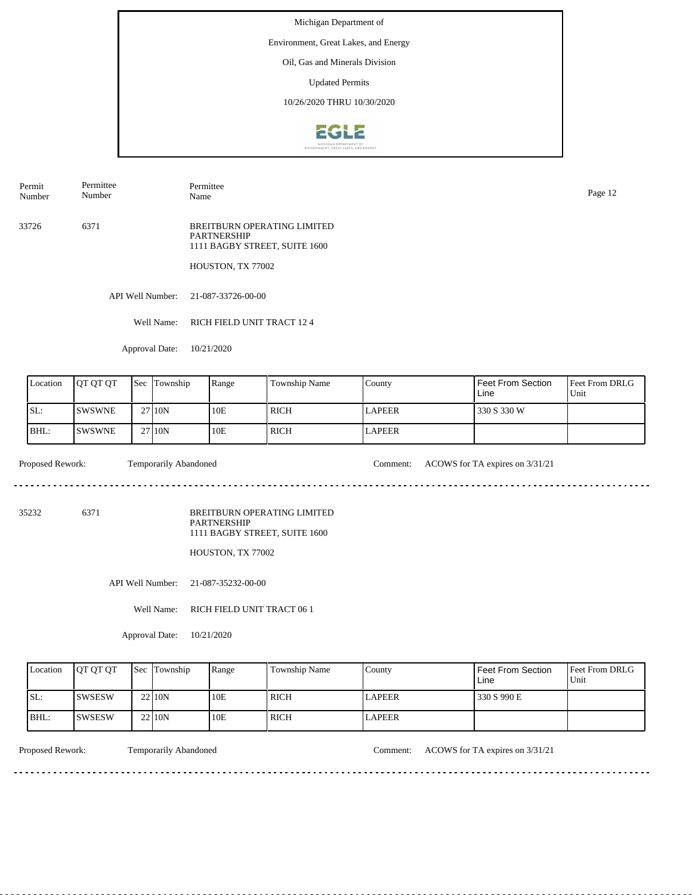Environment, Great Lakes, and Energy

Oil, Gas and Minerals Division

Updated Permits

10/26/2020 THRU 10/30/2020



Permit Permittee Number

Permittee Name Page 12

33726 6371 BREITBURN OPERATING LIMITED PARTNERSHIP 1111 BAGBY STREET, SUITE 1600

HOUSTON, TX 77002

API Well Number: 21-087-33726-00-00

Well Name: RICH FIELD UNIT TRACT 12 4

Approval Date: 10/21/2020

| Location | <b>IOT OT OT</b> | <b>Sec</b> | Township | Range | Township Name | County        | <b>Feet From Section</b><br>Line | <b>Feet From DRLG</b><br>Unit |
|----------|------------------|------------|----------|-------|---------------|---------------|----------------------------------|-------------------------------|
| ISL:     | <b>ISWSWNE</b>   |            | 27110N   | 10E   | RICH          | <b>LAPEER</b> | 330 S 330 W                      |                               |
| BHL:     | <b>ISWSWNE</b>   |            | 27110N   | 10E   | RICH          | <b>LAPEER</b> |                                  |                               |

Proposed Rework: Temporarily Abandoned Comment: ACOWS for TA expires on  $3/31/21$ 

 $- - - - - -$ 

. . . . . . . . . . . . . . . . . . . .

35232 6371

Number

BREITBURN OPERATING LIMITED PARTNERSHIP 1111 BAGBY STREET, SUITE 1600

HOUSTON, TX 77002

API Well Number: 21-087-35232-00-00

Well Name: RICH FIELD UNIT TRACT 06 1

Approval Date: 10/21/2020

| Location | <b>IOT OT OT</b> | <b>Sec Township</b> | Range | Township Name | County        | Feet From Section<br>Line | <b>Feet From DRLG</b><br>Unit |
|----------|------------------|---------------------|-------|---------------|---------------|---------------------------|-------------------------------|
| ISL:     | <b>ISWSESW</b>   | 2210N               | 10E   | ' RICH        | <b>LAPEER</b> | 330 S 990 E               |                               |
| IBHL:    | ISWSESW          | 2210N               | 10E   | RICH          | <b>LAPEER</b> |                           |                               |

Proposed Rework: Temporarily Abandoned Comment: ACOWS for TA expires on  $3/31/21$ 

<u>. . . . . . . .</u>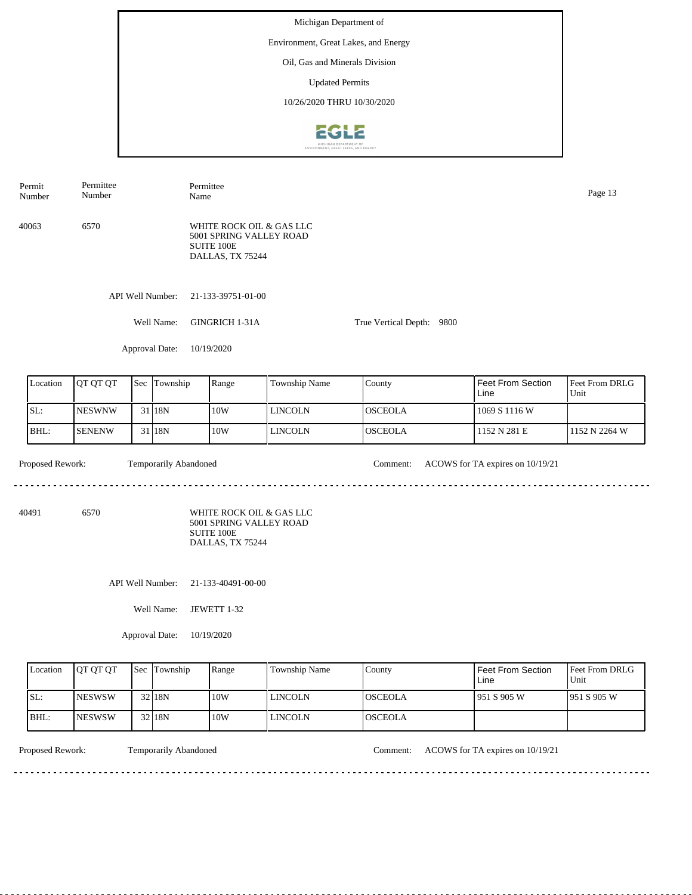Michigan Department of Environment, Great Lakes, and Energy Oil, Gas and Minerals Division Updated Permits 10/26/2020 THRU 10/30/2020EGLE

| Permit<br>Number | Permittee<br>Number |              | Name                  | Permittee                                                                             |                |                           |                                  | Page 13                |  |
|------------------|---------------------|--------------|-----------------------|---------------------------------------------------------------------------------------|----------------|---------------------------|----------------------------------|------------------------|--|
| 40063            | 6570                |              |                       | WHITE ROCK OIL & GAS LLC<br>5001 SPRING VALLEY ROAD<br>SUITE 100E<br>DALLAS, TX 75244 |                |                           |                                  |                        |  |
|                  |                     |              | API Well Number:      | 21-133-39751-01-00                                                                    |                |                           |                                  |                        |  |
|                  |                     |              | Well Name:            | GINGRICH 1-31A                                                                        |                | True Vertical Depth: 9800 |                                  |                        |  |
|                  |                     |              | Approval Date:        | 10/19/2020                                                                            |                |                           |                                  |                        |  |
| Location         | QT QT QT            | Sec Township |                       | Range                                                                                 | Township Name  | County                    | <b>Feet From Section</b><br>Line | Feet From DRLG<br>Unit |  |
| SL:              | <b>NESWNW</b>       |              | 31 18N                | 10W                                                                                   | <b>LINCOLN</b> | <b>OSCEOLA</b>            | 1069 S 1116 W                    |                        |  |
| BHL:             | <b>SENENW</b>       |              | 31 18N                | 10W                                                                                   | <b>LINCOLN</b> | <b>OSCEOLA</b>            | 1152 N 281 E                     | 1152 N 2264 W          |  |
| Proposed Rework: |                     |              | Temporarily Abandoned |                                                                                       |                | Comment:                  | ACOWS for TA expires on 10/19/21 |                        |  |
| 40491            | 6570                |              |                       | WHITE ROCK OIL & GAS LLC<br>5001 SPRING VALLEY ROAD<br>SUITE 100E<br>DALLAS, TX 75244 |                |                           |                                  |                        |  |
|                  |                     |              | API Well Number:      | 21-133-40491-00-00                                                                    |                |                           |                                  |                        |  |
|                  |                     |              | Well Name:            | JEWETT 1-32                                                                           |                |                           |                                  |                        |  |
|                  |                     |              | Approval Date:        | 10/19/2020                                                                            |                |                           |                                  |                        |  |

| Location | <b>OT OT OT</b> | <b>Sec</b> Township | Range | Township Name | County   | Feet From Section<br>Line | <b>Feet From DRLG</b><br>Unit |
|----------|-----------------|---------------------|-------|---------------|----------|---------------------------|-------------------------------|
| SL:      | <b>INESWSW</b>  | 32 <sub>18N</sub>   | 10W   | LINCOLN       | IOSCEOLA | 1951 S 905 W              | 1951 S 905 W                  |
| BHL:     | <b>INESWSW</b>  | 32 <sub>18N</sub>   | 10W   | LINCOLN       | IOSCEOLA |                           |                               |

. . . . . . . . . . .

Proposed Rework: Temporarily Abandoned Comment: ACOWS for TA expires on 10/19/21

<u>. . . . . . . . . . . . . . . . .</u>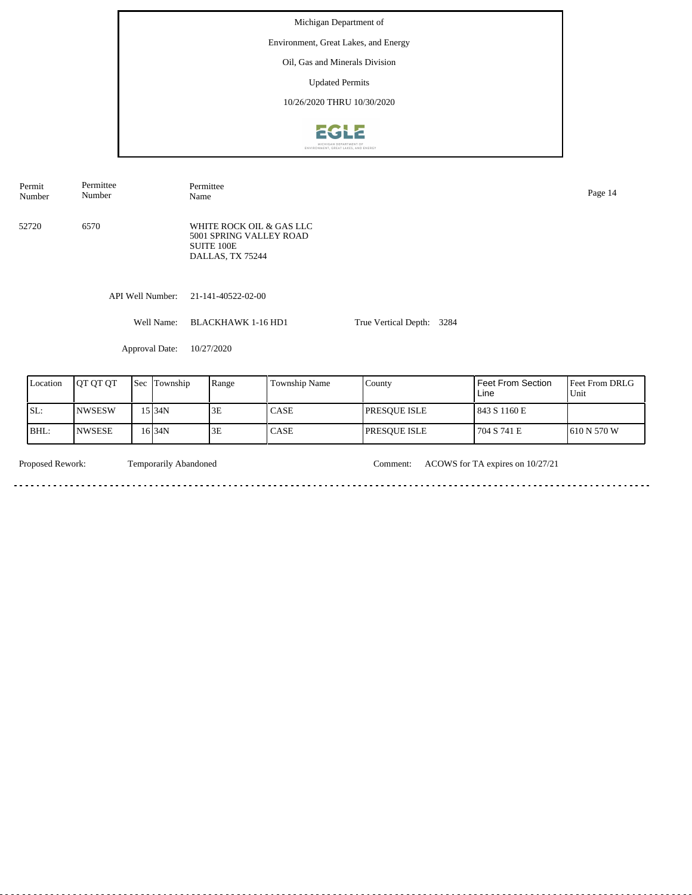Michigan Department of Environment, Great Lakes, and Energy Oil, Gas and Minerals Division Updated Permits 10/26/2020 THRU 10/30/2020**EGLE** 

| Permit<br>Number | Permittee<br>Number          |  |              | Permittee<br>Name                                                                            |               |                           |  |                          |                |  |
|------------------|------------------------------|--|--------------|----------------------------------------------------------------------------------------------|---------------|---------------------------|--|--------------------------|----------------|--|
| 52720            | 6570                         |  |              | WHITE ROCK OIL & GAS LLC<br>5001 SPRING VALLEY ROAD<br><b>SUITE 100E</b><br>DALLAS, TX 75244 |               |                           |  |                          |                |  |
|                  | API Well Number:             |  |              | 21-141-40522-02-00                                                                           |               |                           |  |                          |                |  |
|                  | Well Name:<br>Approval Date: |  |              | <b>BLACKHAWK 1-16 HD1</b>                                                                    |               | True Vertical Depth: 3284 |  |                          |                |  |
|                  |                              |  |              | 10/27/2020                                                                                   |               |                           |  |                          |                |  |
| Location         | QT QT QT                     |  | Sec Township | Range                                                                                        | Township Name | County                    |  | <b>Feet From Section</b> | Feet From DRLG |  |
|                  |                              |  |              |                                                                                              |               |                           |  | Line                     | Unit           |  |
| SL:              | <b>NWSESW</b>                |  | 15 34N       | 3E                                                                                           | CASE          | <b>PRESQUE ISLE</b>       |  | 843 S 1160 E             |                |  |

**CASE** 

NWSESE

BHL:

Temporarily Abandoned

16 34N 3E

Proposed Rework: Temporarily Abandoned Comment: ACOWS for TA expires on 10/27/21

PRESQUE ISLE

704 S 741 E

610 N 570 W